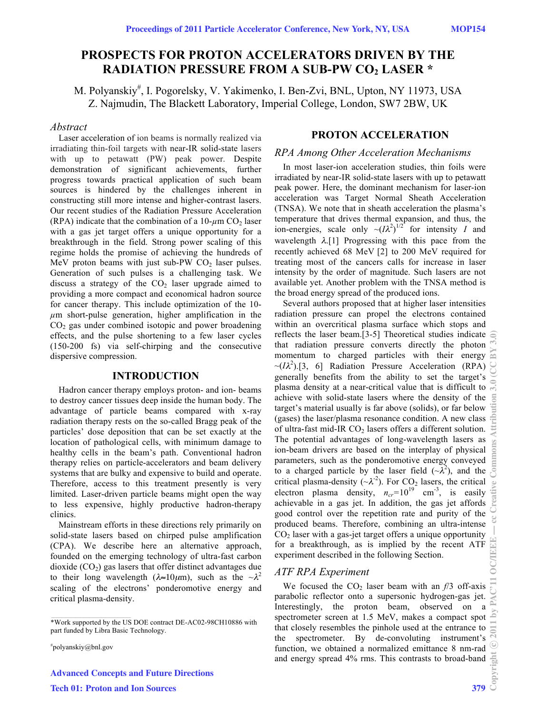# **PROSPECTS FOR PROTON ACCELERATORS DRIVEN BY THE RADIATION PRESSURE FROM A SUB-PW CO2 LASER \***

M. Polyanskiy# , I. Pogorelsky, V. Yakimenko, I. Ben-Zvi, BNL, Upton, NY 11973, USA Z. Najmudin, The Blackett Laboratory, Imperial College, London, SW7 2BW, UK

### *Abstract*

Laser acceleration of ion beams is normally realized via irradiating thin-foil targets with near-IR solid-state lasers with up to petawatt (PW) peak power. Despite demonstration of significant achievements, further progress towards practical application of such beam sources is hindered by the challenges inherent in constructing still more intense and higher-contrast lasers. Our recent studies of the Radiation Pressure Acceleration (RPA) indicate that the combination of a  $10$ - $\mu$ m CO<sub>2</sub> laser with a gas jet target offers a unique opportunity for a breakthrough in the field. Strong power scaling of this regime holds the promise of achieving the hundreds of MeV proton beams with just sub-PW  $CO<sub>2</sub>$  laser pulses. Generation of such pulses is a challenging task. We discuss a strategy of the  $CO<sub>2</sub>$  laser upgrade aimed to providing a more compact and economical hadron source for cancer therapy. This include optimization of the 10 *µ*m short-pulse generation, higher amplification in the  $CO<sub>2</sub>$  gas under combined isotopic and power broadening effects, and the pulse shortening to a few laser cycles (150-200 fs) via self-chirping and the consecutive dispersive compression.

### **INTRODUCTION**

Hadron cancer therapy employs proton- and ion- beams to destroy cancer tissues deep inside the human body. The advantage of particle beams compared with x-ray radiation therapy rests on the so-called Bragg peak of the particles' dose deposition that can be set exactly at the location of pathological cells, with minimum damage to healthy cells in the beam's path. Conventional hadron therapy relies on particle-accelerators and beam delivery systems that are bulky and expensive to build and operate. Therefore, access to this treatment presently is very limited. Laser-driven particle beams might open the way to less expensive, highly productive hadron-therapy clinics.

Mainstream efforts in these directions rely primarily on solid-state lasers based on chirped pulse amplification (CPA). We describe here an alternative approach, founded on the emerging technology of ultra-fast carbon dioxide  $(CO<sub>2</sub>)$  gas lasers that offer distinct advantages due to their long wavelength ( $\lambda \approx 10 \mu m$ ), such as the  $\sim \lambda^2$ scaling of the electrons' ponderomotive energy and critical plasma-density.

# polyanskiy@bnl.gov

\_\_\_\_\_\_\_\_\_\_\_\_\_\_\_\_\_\_\_\_\_\_\_\_\_\_\_\_\_\_\_\_\_\_\_\_\_\_\_\_\_\_\_\_

Advanced Concepts and Future Directions Tech 01: Proton and Ion Sources 379

### **PROTON ACCELERATION**

### *RPA Among Other Acceleration Mechanisms*

In most laser-ion acceleration studies, thin foils were irradiated by near-IR solid-state lasers with up to petawatt peak power. Here, the dominant mechanism for laser-ion acceleration was Target Normal Sheath Acceleration (TNSA). We note that in sheath acceleration the plasma's temperature that drives thermal expansion, and thus, the ion-energies, scale only  $\sim (I\lambda^2)^{1/2}$  for intensity *I* and wavelength  $\lambda$ .[1] Progressing with this pace from the recently achieved 68 MeV [2] to 200 MeV required for treating most of the cancers calls for increase in laser intensity by the order of magnitude. Such lasers are not available yet. Another problem with the TNSA method is the broad energy spread of the produced ions.

Several authors proposed that at higher laser intensities radiation pressure can propel the electrons contained within an overcritical plasma surface which stops and reflects the laser beam.[3-5] Theoretical studies indicate  $\epsilon$ that radiation pressure converts directly the photon momentum to charged particles with their energy  $\sim (I\lambda^2)$ .[3, 6] Radiation Pressure Acceleration (RPA) generally benefits from the ability to set the target's plasma density at a near-critical value that is difficult to achieve with solid-state lasers where the density of the target's material usually is far above (solids), or far below (gases) the laser/plasma resonance condition. A new class of ultra-fast mid-IR  $CO<sub>2</sub>$  lasers offers a different solution. The potential advantages of long-wavelength lasers as ion-beam drivers are based on the interplay of physical parameters, such as the ponderomotive energy conveyed to a charged particle by the laser field  $({\sim}\lambda^2)$ , and the critical plasma-density ( $\sim \lambda^{-2}$ ). For CO<sub>2</sub> lasers, the critical electron plasma density,  $n_{cr}$ =10<sup>19</sup> cm<sup>-3</sup>, is easily achievable in a gas jet. In addition, the gas jet affords good control over the repetition rate and purity of the produced beams. Therefore, combining an ultra-intense  $CO<sub>2</sub>$  laser with a gas-jet target offers a unique opportunity for a breakthrough, as is implied by the recent ATF experiment described in the following Section.

### *ATF RPA Experiment*

We focused the  $CO<sub>2</sub>$  laser beam with an  $f/3$  off-axis parabolic reflector onto a supersonic hydrogen-gas jet. Interestingly, the proton beam, observed on a spectrometer screen at 1.5 MeV, makes a compact spot that closely resembles the pinhole used at the entrance to the spectrometer. By de-convoluting instrument's function, we obtained a normalized emittance 8 nm-rad and energy spread 4% rms. This contrasts to broad-band  $\frac{5}{2}$ <br> $\frac{1}{2}$ <br>379

<sup>\*</sup>Work supported by the US DOE contract DE-AC02-98CH10886 with part funded by Libra Basic Technology.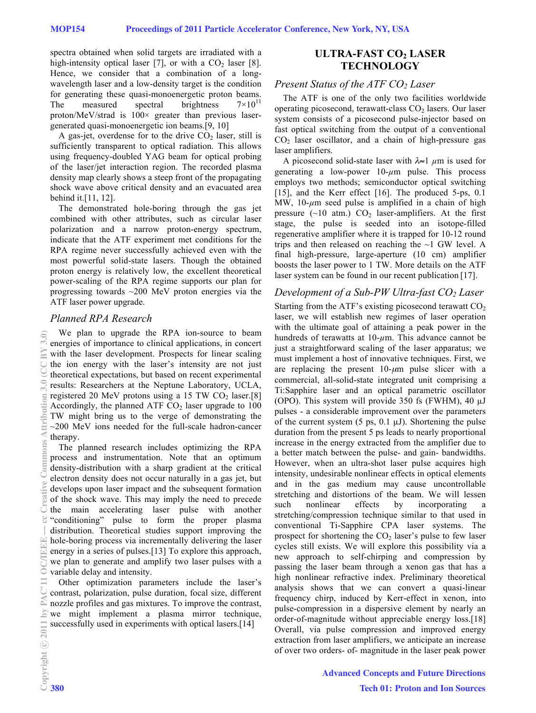spectra obtained when solid targets are irradiated with a high-intensity optical laser [7], or with a  $CO<sub>2</sub>$  laser [8]. Hence, we consider that a combination of a longwavelength laser and a low-density target is the condition for generating these quasi-monoenergetic proton beams.<br>The measured spectral brightness  $7 \times 10^{11}$ The measured spectral brightness proton/MeV/strad is  $100 \times$  greater than previous lasergenerated quasi-monoenergetic ion beams.[9, 10]

A gas-jet, overdense for to the drive  $CO<sub>2</sub>$  laser, still is sufficiently transparent to optical radiation. This allows using frequency-doubled YAG beam for optical probing of the laser/jet interaction region. The recorded plasma density map clearly shows a steep front of the propagating shock wave above critical density and an evacuated area behind it.[11, 12].

The demonstrated hole-boring through the gas jet combined with other attributes, such as circular laser polarization and a narrow proton-energy spectrum, indicate that the ATF experiment met conditions for the RPA regime never successfully achieved even with the most powerful solid-state lasers. Though the obtained proton energy is relatively low, the excellent theoretical power-scaling of the RPA regime supports our plan for progressing towards ~200 MeV proton energies via the ATF laser power upgrade.

### *Planned RPA Research*

We plan to upgrade the RPA ion-source to beam energies of importance to clinical applications, in concert with the laser development. Prospects for linear scaling the ion energy with the laser's intensity are not just theoretical expectations, but based on recent experimental results: Researchers at the Neptune Laboratory, UCLA, registered 20 MeV protons using a 15 TW  $CO<sub>2</sub>$  laser.[8] Accordingly, the planned ATF  $CO<sub>2</sub>$  laser upgrade to 100 TW might bring us to the verge of demonstrating the ~200 MeV ions needed for the full-scale hadron-cancer therapy. 2011 by PAC'11 OC/IEEE — cc Creative Commons Attribution 3.0 (CC BY 3.0)

The planned research includes optimizing the RPA process and instrumentation. Note that an optimum density-distribution with a sharp gradient at the critical electron density does not occur naturally in a gas jet, but develops upon laser impact and the subsequent formation of the shock wave. This may imply the need to precede the main accelerating laser pulse with another "conditioning" pulse to form the proper plasma distribution. Theoretical studies support improving the hole-boring process via incrementally delivering the laser  $\Xi$  energy in a series of pulses.[13] To explore this approach, we plan to generate and amplify two laser pulses with a variable delay and intensity.

Other optimization parameters include the laser's contrast, polarization, pulse duration, focal size, different nozzle profiles and gas mixtures. To improve the contrast, we might implement a plasma mirror technique, successfully used in experiments with optical lasers.<sup>[14]</sup>

## **ULTRA-FAST CO<sub>2</sub> LASER TECHNOLOGY**

# *Present Status of the ATF CO2 Laser*

The ATF is one of the only two facilities worldwide operating picosecond, terawatt-class  $CO<sub>2</sub>$  lasers. Our laser system consists of a picosecond pulse-injector based on fast optical switching from the output of a conventional  $CO<sub>2</sub>$  laser oscillator, and a chain of high-pressure gas laser amplifiers.

A picosecond solid-state laser with λ≈1 *µ*m is used for generating a low-power  $10-\mu m$  pulse. This process employs two methods; semiconductor optical switching [15], and the Kerr effect [16]. The produced 5-ps, 0.1 MW,  $10-\mu m$  seed pulse is amplified in a chain of high pressure  $(\sim 10$  atm.)  $CO<sub>2</sub>$  laser-amplifiers. At the first stage, the pulse is seeded into an isotope-filled regenerative amplifier where it is trapped for 10-12 round trips and then released on reaching the ~1 GW level. A final high-pressure, large-aperture (10 cm) amplifier boosts the laser power to 1 TW. More details on the ATF laser system can be found in our recent publication [17].

# *Development of a Sub-PW Ultra-fast CO2 Laser*

Starting from the ATF's existing picosecond terawatt  $CO<sub>2</sub>$ laser, we will establish new regimes of laser operation with the ultimate goal of attaining a peak power in the hundreds of terawatts at 10-*µ*m. This advance cannot be just a straightforward scaling of the laser apparatus; we must implement a host of innovative techniques. First, we are replacing the present  $10$ - $\mu$ m pulse slicer with a commercial, all-solid-state integrated unit comprising a Ti:Sapphire laser and an optical parametric oscillator (OPO). This system will provide 350 fs (FWHM), 40  $\mu$ J pulses - a considerable improvement over the parameters of the current system  $(5 \text{ ps}, 0.1 \text{ }\mu\text{J})$ . Shortening the pulse duration from the present 5 ps leads to nearly proportional increase in the energy extracted from the amplifier due to a better match between the pulse- and gain- bandwidths. However, when an ultra-shot laser pulse acquires high intensity, undesirable nonlinear effects in optical elements and in the gas medium may cause uncontrollable stretching and distortions of the beam. We will lessen such nonlinear effects by incorporating stretching/compression technique similar to that used in conventional Ti-Sapphire CPA laser systems. The prospect for shortening the  $CO<sub>2</sub>$  laser's pulse to few laser cycles still exists. We will explore this possibility via a new approach to self-chirping and compression by passing the laser beam through a xenon gas that has a high nonlinear refractive index. Preliminary theoretical analysis shows that we can convert a quasi-linear frequency chirp, induced by Kerr-effect in xenon, into pulse-compression in a dispersive element by nearly an order-of-magnitude without appreciable energy loss.[18] Overall, via pulse compression and improved energy extraction from laser amplifiers, we anticipate an increase of over two orders- of- magnitude in the laser peak power

c○

旨

Ñ

 $\overline{m}$ 

munt

Ü

 $\left\lbrack \mathbf{r}\right\rbrack$